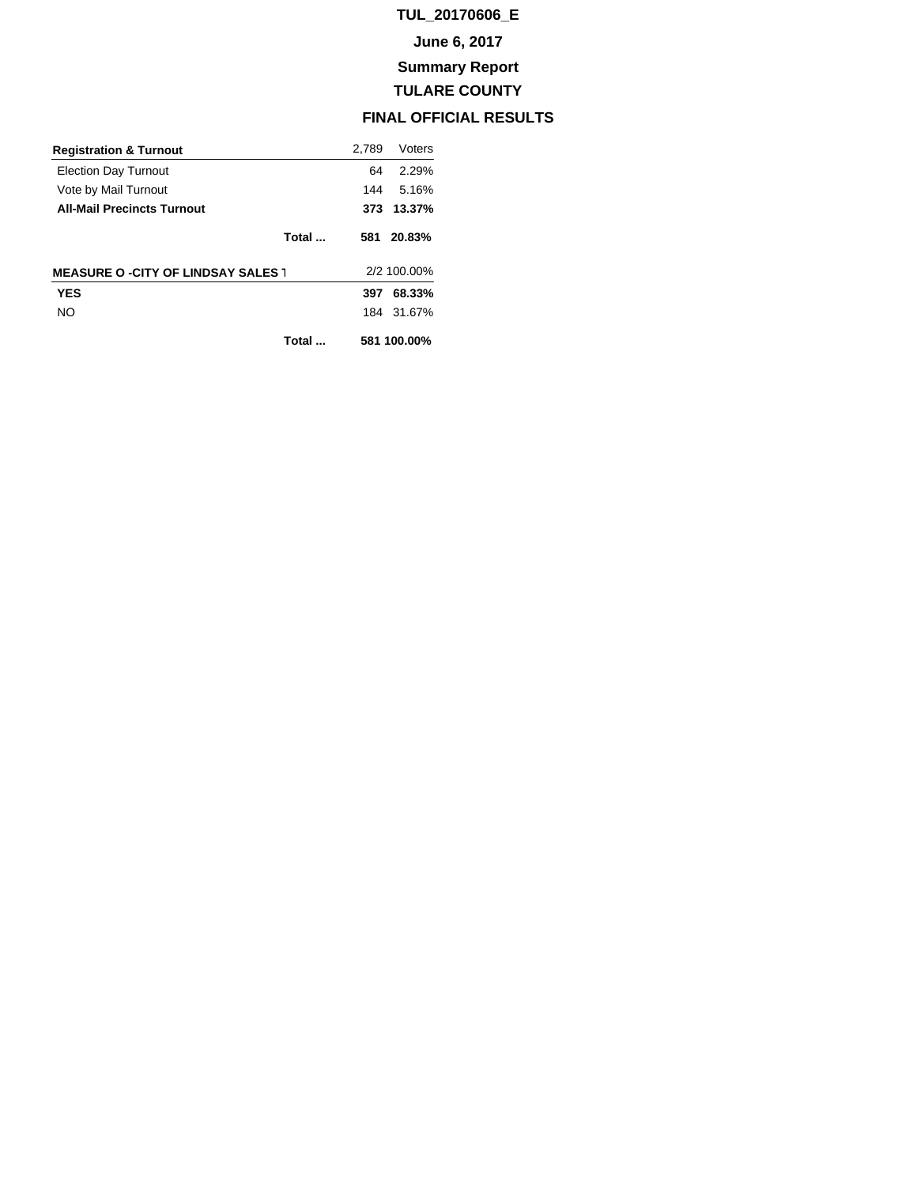## **TUL\_20170606\_E**

### **June 6, 2017**

## **Summary Report**

## **TULARE COUNTY**

## **FINAL OFFICIAL RESULTS**

| <b>Registration &amp; Turnout</b>         |       | 2.789       | Voters     |
|-------------------------------------------|-------|-------------|------------|
| <b>Election Day Turnout</b>               |       | 64          | 2.29%      |
| Vote by Mail Turnout                      |       | 144         | 5.16%      |
| <b>All-Mail Precincts Turnout</b>         |       | 373         | 13.37%     |
|                                           | Total | 581         | 20.83%     |
| <b>MEASURE O -CITY OF LINDSAY SALES 1</b> |       | 2/2 100.00% |            |
| <b>YES</b>                                |       | 397         | 68.33%     |
| NO.                                       |       |             | 184 31.67% |
|                                           | Total | 581 100.00% |            |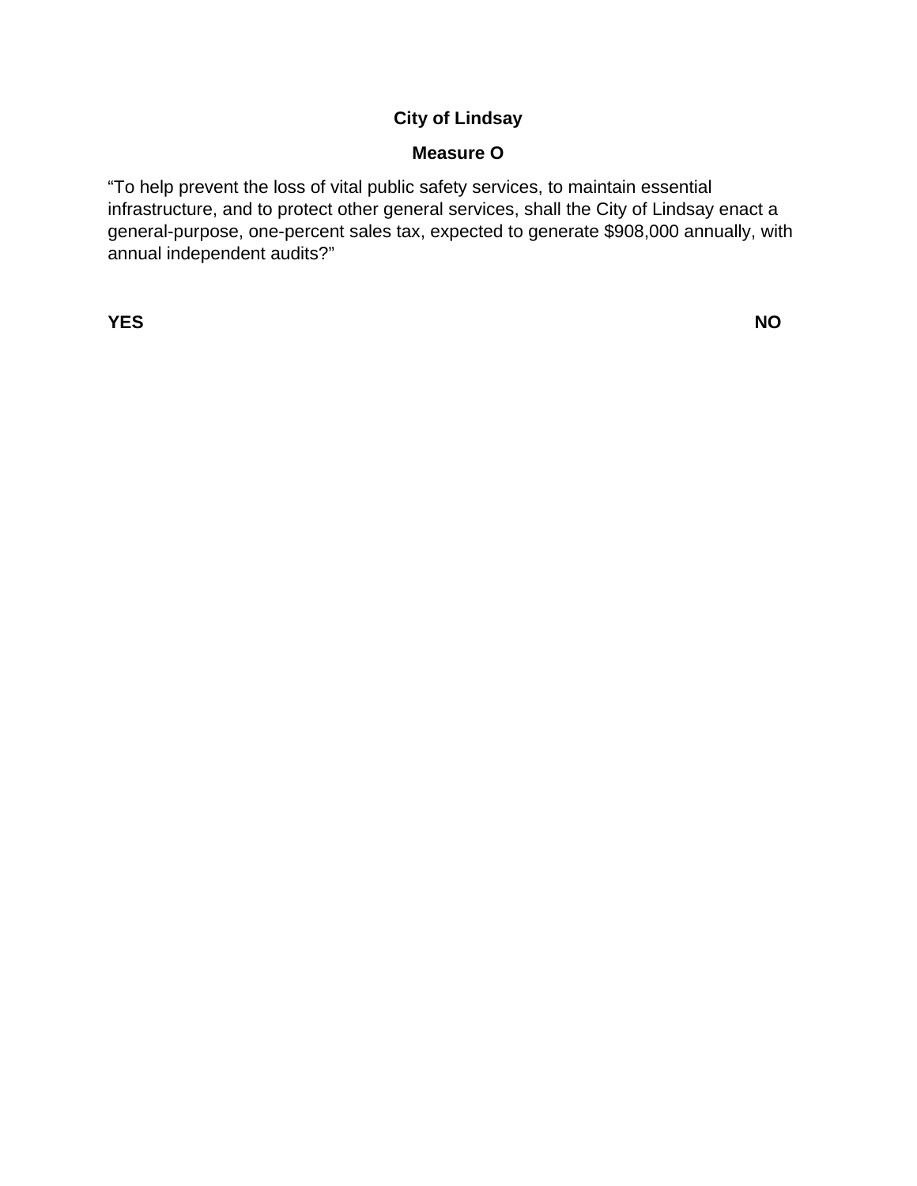# **City of Lindsay**

## **Measure O**

"To help prevent the loss of vital public safety services, to maintain essential infrastructure, and to protect other general services, shall the City of Lindsay enact a general-purpose, one-percent sales tax, expected to generate \$908,000 annually, with annual independent audits?"

**YES** NO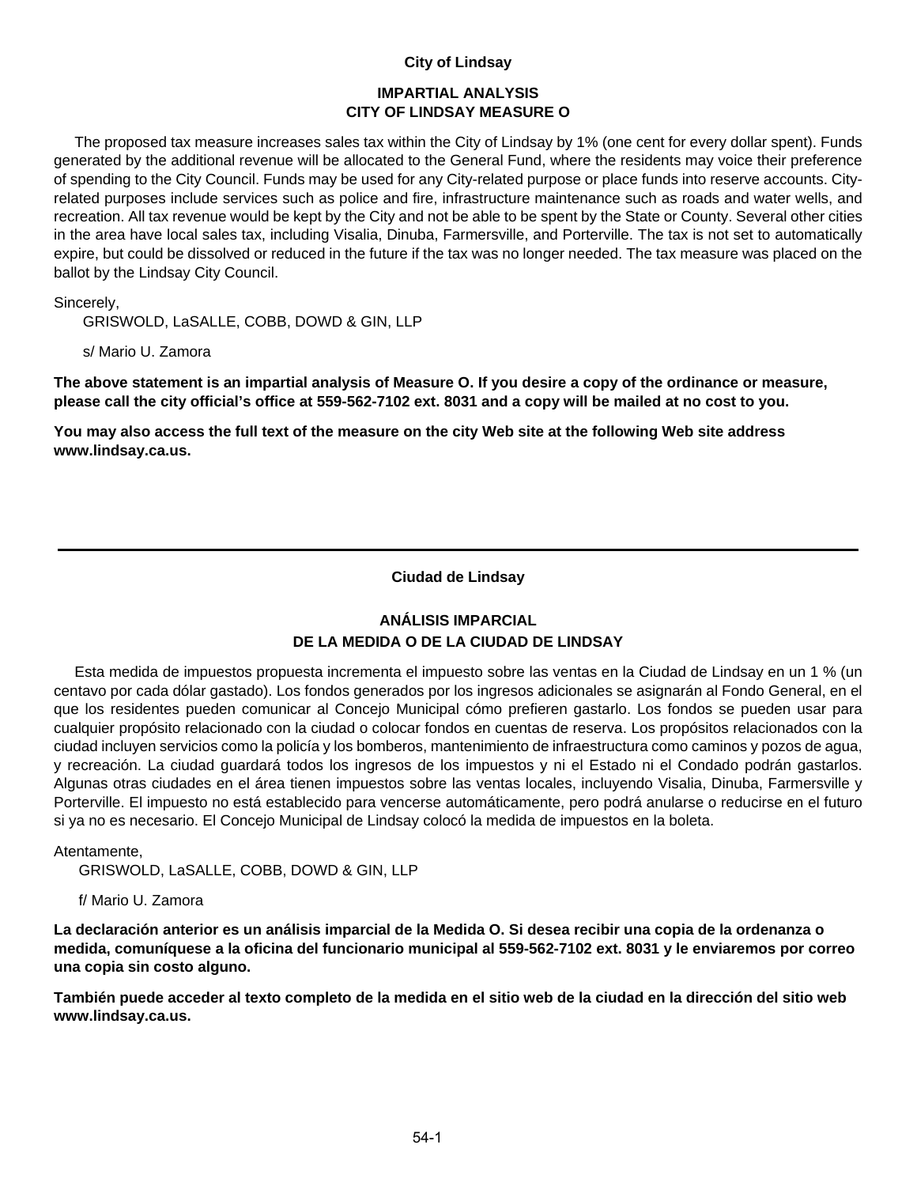#### **City of Lindsay**

#### **IMPARTIAL ANALYSIS CITY OF LINDSAY MEASURE O**

 The proposed tax measure increases sales tax within the City of Lindsay by 1% (one cent for every dollar spent). Funds generated by the additional revenue will be allocated to the General Fund, where the residents may voice their preference of spending to the City Council. Funds may be used for any City-related purpose or place funds into reserve accounts. Cityrelated purposes include services such as police and fire, infrastructure maintenance such as roads and water wells, and recreation. All tax revenue would be kept by the City and not be able to be spent by the State or County. Several other cities in the area have local sales tax, including Visalia, Dinuba, Farmersville, and Porterville. The tax is not set to automatically expire, but could be dissolved or reduced in the future if the tax was no longer needed. The tax measure was placed on the ballot by the Lindsay City Council.

Sincerely,

GRISWOLD, LaSALLE, COBB, DOWD & GIN, LLP

s/ Mario U. Zamora

**The above statement is an impartial analysis of Measure O. If you desire a copy of the ordinance or measure, please call the city official's office at 559-562-7102 ext. 8031 and a copy will be mailed at no cost to you.** 

**You may also access the full text of the measure on the city Web site at the following Web site address www.lindsay.ca.us.**

#### **Ciudad de Lindsay**

### **ANÁLISIS IMPARCIAL DE LA MEDIDA O DE LA CIUDAD DE LINDSAY**

 Esta medida de impuestos propuesta incrementa el impuesto sobre las ventas en la Ciudad de Lindsay en un 1 % (un centavo por cada dólar gastado). Los fondos generados por los ingresos adicionales se asignarán al Fondo General, en el que los residentes pueden comunicar al Concejo Municipal cómo prefieren gastarlo. Los fondos se pueden usar para cualquier propósito relacionado con la ciudad o colocar fondos en cuentas de reserva. Los propósitos relacionados con la ciudad incluyen servicios como la policía y los bomberos, mantenimiento de infraestructura como caminos y pozos de agua, y recreación. La ciudad guardará todos los ingresos de los impuestos y ni el Estado ni el Condado podrán gastarlos. Algunas otras ciudades en el área tienen impuestos sobre las ventas locales, incluyendo Visalia, Dinuba, Farmersville y Porterville. El impuesto no está establecido para vencerse automáticamente, pero podrá anularse o reducirse en el futuro si ya no es necesario. El Concejo Municipal de Lindsay colocó la medida de impuestos en la boleta.

Atentamente,

GRISWOLD, LaSALLE, COBB, DOWD & GIN, LLP

f/ Mario U. Zamora

**La declaración anterior es un análisis imparcial de la Medida O. Si desea recibir una copia de la ordenanza o medida, comuníquese a la oficina del funcionario municipal al 559-562-7102 ext. 8031 y le enviaremos por correo una copia sin costo alguno.** 

**También puede acceder al texto completo de la medida en el sitio web de la ciudad en la dirección del sitio web www.lindsay.ca.us.**